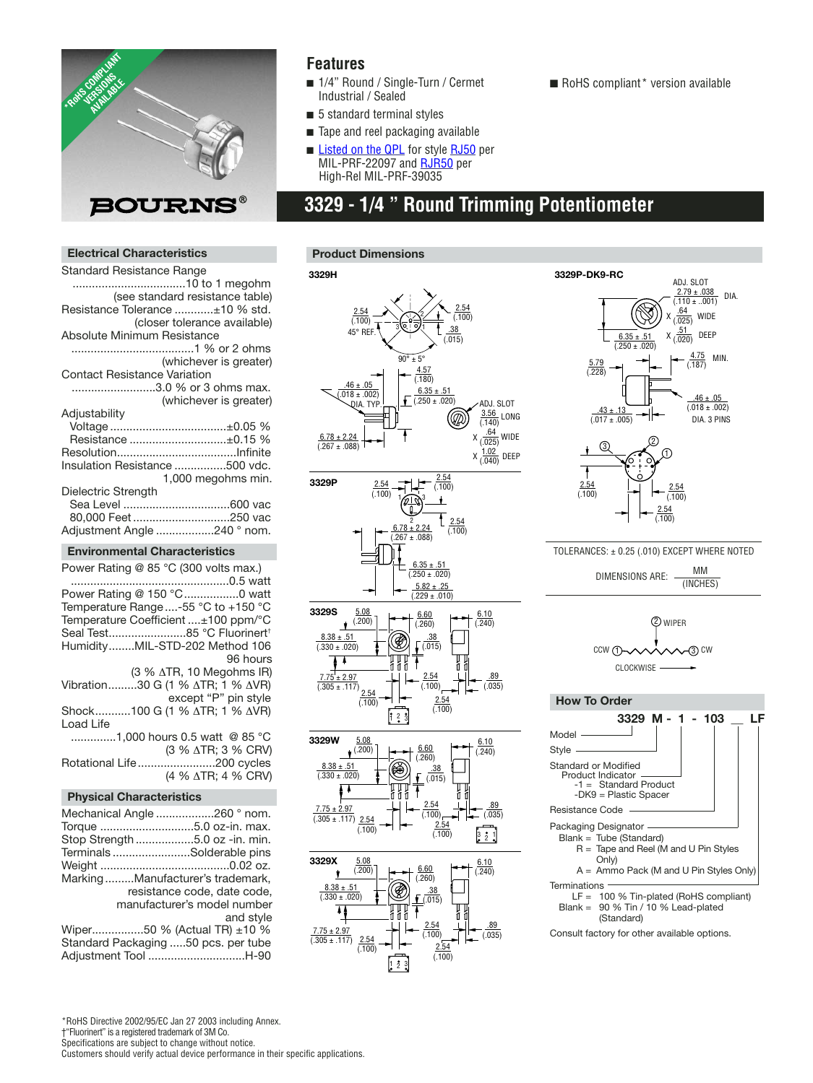

### **Features**

- 1/4" Round / Single-Turn / Cermet Industrial / Sealed
- 5 standard terminal styles
- Tape and reel packaging available
- **[Listed on the QPL](http://www.bourns.com/pdfs/qualified_parts_numbers.pdf)** for styl[e RJ50](http://www.bourns.com/pdfs/RJ50RJR50.pdf) per MIL-PRF-22097 an[d RJR50](http://www.bourns.com/pdfs/RJ50RJR50.pdf) per High-Rel MIL-PRF-39035

## **3329 - 1/4 " Round Trimming Potentiometer**

#### **Electrical Characteristics**

| Standard Resistance Range           |                                 |
|-------------------------------------|---------------------------------|
|                                     |                                 |
|                                     | (see standard resistance table) |
| Resistance Tolerance ±10 % std.     |                                 |
|                                     | (closer tolerance available)    |
| Absolute Minimum Resistance         |                                 |
|                                     |                                 |
|                                     | (whichever is greater)          |
| <b>Contact Resistance Variation</b> |                                 |
| 3.0 % or 3 ohms max.                |                                 |
|                                     | (whichever is greater)          |
| Adjustability                       |                                 |
| Voltage±0.05 %                      |                                 |
| Resistance ±0.15 %                  |                                 |
|                                     |                                 |
| Insulation Resistance 500 vdc.      |                                 |
|                                     | 1,000 megohms min.              |
| Dielectric Strength                 |                                 |
|                                     |                                 |
| 80,000 Feet250 vac                  |                                 |
| Adjustment Angle 240 ° nom.         |                                 |
|                                     |                                 |

#### **Environmental Characteristics**

Power Rating @ 85 °C (300 volts max.) .................................................0.5 watt Power Rating @ 150 °C..................0 watt Temperature Range....-55 °C to +150 °C Temperature Coefficient ....±100 ppm/°C Seal Test........................85 °C Fluorinert† Humidity........MIL-STD-202 Method 106 96 hours (3 % ∆TR, 10 Megohms IR) Vibration.........30 G (1 % ∆TR; 1 % ∆VR) except "P" pin style Shock...........100 G (1 % ∆TR; 1 % ∆VR) Load Life ..............1,000 hours 0.5 watt @ 85 °C (3 % ∆TR; 3 % CRV) Rotational Life........................200 cycles (4 % ∆TR; 4 % CRV)

#### **Physical Characteristics**

| Mechanical Angle 260 ° nom.         |                             |
|-------------------------------------|-----------------------------|
|                                     |                             |
| Stop Strength 5.0 oz -in. min.      |                             |
| TerminalsSolderable pins            |                             |
|                                     |                             |
| MarkingManufacturer's trademark,    |                             |
|                                     | resistance code, date code, |
|                                     | manufacturer's model number |
|                                     | and style                   |
| Wiper50 % (Actual TR) ±10 %         |                             |
| Standard Packaging 50 pcs. per tube |                             |
| Adjustment Tool H-90                |                             |





1 2 3



TOLERANCES: ± 0.25 (.010) EXCEPT WHERE NOTED

DIMENSIONS ARE: MM (INCHES)





Consult factory for other available options.

■ RoHS compliant\* version available